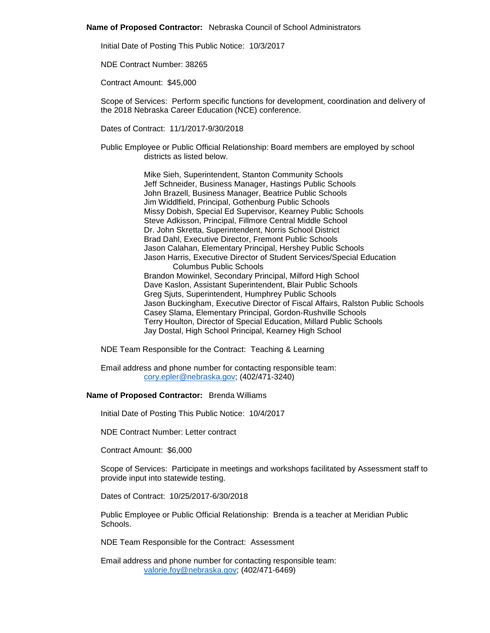### **Name of Proposed Contractor:** Nebraska Council of School Administrators

Initial Date of Posting This Public Notice: 10/3/2017

NDE Contract Number: 38265

Contract Amount: \$45,000

Scope of Services: Perform specific functions for development, coordination and delivery of the 2018 Nebraska Career Education (NCE) conference.

Dates of Contract: 11/1/2017-9/30/2018

Public Employee or Public Official Relationship: Board members are employed by school districts as listed below.

> Mike Sieh, Superintendent, Stanton Community Schools Jeff Schneider, Business Manager, Hastings Public Schools John Brazell, Business Manager, Beatrice Public Schools Jim Widdlfield, Principal, Gothenburg Public Schools Missy Dobish, Special Ed Supervisor, Kearney Public Schools Steve Adkisson, Principal, Fillmore Central Middle School Dr. John Skretta, Superintendent, Norris School District Brad Dahl, Executive Director, Fremont Public Schools Jason Calahan, Elementary Principal, Hershey Public Schools Jason Harris, Executive Director of Student Services/Special Education Columbus Public Schools Brandon Mowinkel, Secondary Principal, Milford High School Dave Kaslon, Assistant Superintendent, Blair Public Schools Greg Sjuts, Superintendent, Humphrey Public Schools Jason Buckingham, Executive Director of Fiscal Affairs, Ralston Public Schools Casey Slama, Elementary Principal, Gordon-Rushville Schools Terry Houlton, Director of Special Education, Millard Public Schools Jay Dostal, High School Principal, Kearney High School

NDE Team Responsible for the Contract: Teaching & Learning

Email address and phone number for contacting responsible team: [cory.epler@nebraska.gov;](mailto:cory.epler@nebraska.gov) (402/471-3240)

# **Name of Proposed Contractor:** Brenda Williams

Initial Date of Posting This Public Notice: 10/4/2017

NDE Contract Number: Letter contract

Contract Amount: \$6,000

Scope of Services: Participate in meetings and workshops facilitated by Assessment staff to provide input into statewide testing.

Dates of Contract: 10/25/2017-6/30/2018

Public Employee or Public Official Relationship: Brenda is a teacher at Meridian Public Schools.

NDE Team Responsible for the Contract: Assessment

Email address and phone number for contacting responsible team: [valorie.foy@nebraska.gov;](mailto:valorie.foy@nebraska.gov) (402/471-6469)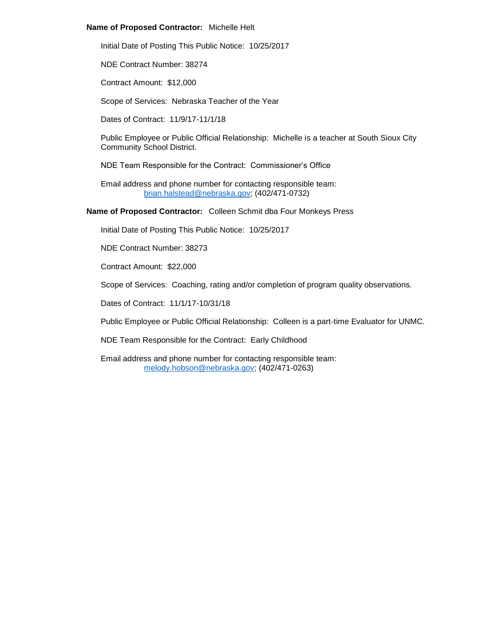### **Name of Proposed Contractor:** Michelle Helt

Initial Date of Posting This Public Notice: 10/25/2017

NDE Contract Number: 38274

Contract Amount: \$12,000

Scope of Services: Nebraska Teacher of the Year

Dates of Contract: 11/9/17-11/1/18

Public Employee or Public Official Relationship: Michelle is a teacher at South Sioux City Community School District.

NDE Team Responsible for the Contract: Commissioner's Office

Email address and phone number for contacting responsible team: [brian.halstead@nebraska.gov;](mailto:brian.halstead@nebraska.gov) (402/471-0732)

**Name of Proposed Contractor:** Colleen Schmit dba Four Monkeys Press

Initial Date of Posting This Public Notice: 10/25/2017

NDE Contract Number: 38273

Contract Amount: \$22,000

Scope of Services: Coaching, rating and/or completion of program quality observations.

Dates of Contract: 11/1/17-10/31/18

Public Employee or Public Official Relationship: Colleen is a part-time Evaluator for UNMC.

NDE Team Responsible for the Contract: Early Childhood

Email address and phone number for contacting responsible team: [melody.hobson@nebraska.gov;](mailto:melody.hobson@nebraska.gov) (402/471-0263)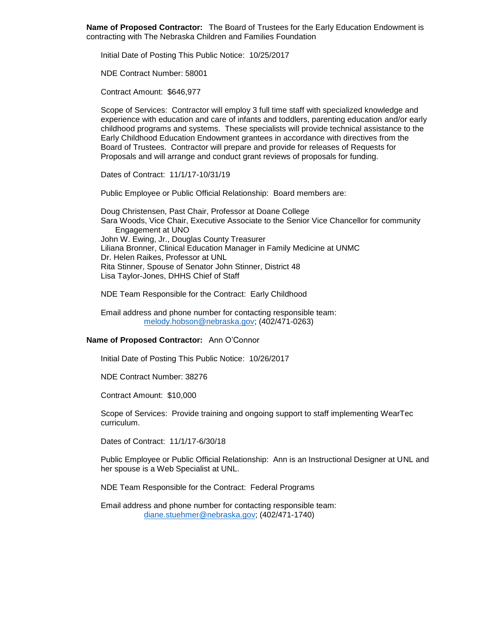**Name of Proposed Contractor:** The Board of Trustees for the Early Education Endowment is contracting with The Nebraska Children and Families Foundation

Initial Date of Posting This Public Notice: 10/25/2017

NDE Contract Number: 58001

Contract Amount: \$646,977

Scope of Services: Contractor will employ 3 full time staff with specialized knowledge and experience with education and care of infants and toddlers, parenting education and/or early childhood programs and systems. These specialists will provide technical assistance to the Early Childhood Education Endowment grantees in accordance with directives from the Board of Trustees. Contractor will prepare and provide for releases of Requests for Proposals and will arrange and conduct grant reviews of proposals for funding.

Dates of Contract: 11/1/17-10/31/19

Public Employee or Public Official Relationship: Board members are:

Doug Christensen, Past Chair, Professor at Doane College Sara Woods, Vice Chair, Executive Associate to the Senior Vice Chancellor for community Engagement at UNO John W. Ewing, Jr., Douglas County Treasurer Liliana Bronner, Clinical Education Manager in Family Medicine at UNMC Dr. Helen Raikes, Professor at UNL Rita Stinner, Spouse of Senator John Stinner, District 48 Lisa Taylor-Jones, DHHS Chief of Staff

NDE Team Responsible for the Contract: Early Childhood

Email address and phone number for contacting responsible team: [melody.hobson@nebraska.gov;](mailto:melody.hobson@nebraska.gov) (402/471-0263)

### **Name of Proposed Contractor:** Ann O'Connor

Initial Date of Posting This Public Notice: 10/26/2017

NDE Contract Number: 38276

Contract Amount: \$10,000

Scope of Services: Provide training and ongoing support to staff implementing WearTec curriculum.

Dates of Contract: 11/1/17-6/30/18

Public Employee or Public Official Relationship: Ann is an Instructional Designer at UNL and her spouse is a Web Specialist at UNL.

NDE Team Responsible for the Contract: Federal Programs

Email address and phone number for contacting responsible team: [diane.stuehmer@nebraska.gov;](mailto:diane.stuehmer@nebraska.gov) (402/471-1740)